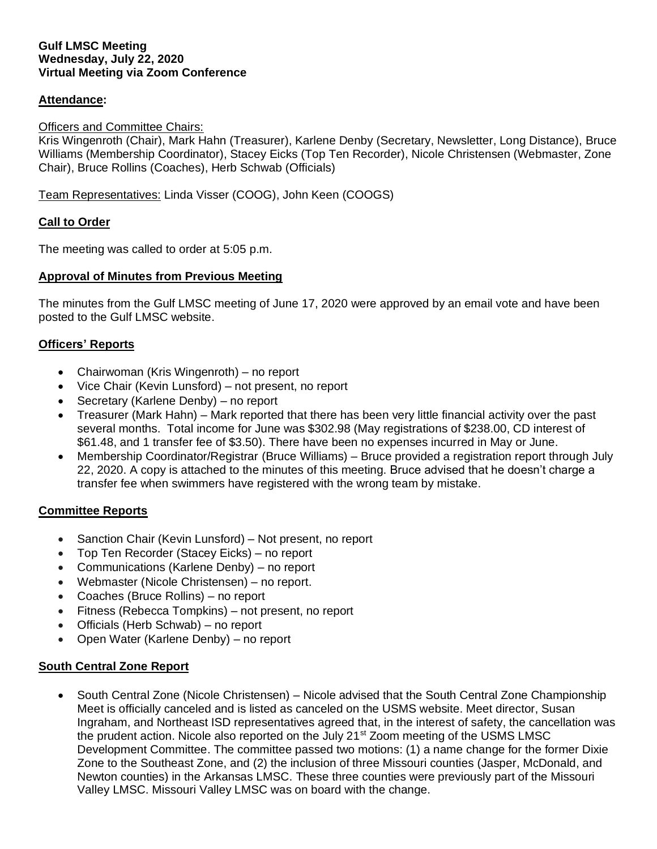### **Gulf LMSC Meeting Wednesday, July 22, 2020 Virtual Meeting via Zoom Conference**

# **Attendance:**

### Officers and Committee Chairs:

Kris Wingenroth (Chair), Mark Hahn (Treasurer), Karlene Denby (Secretary, Newsletter, Long Distance), Bruce Williams (Membership Coordinator), Stacey Eicks (Top Ten Recorder), Nicole Christensen (Webmaster, Zone Chair), Bruce Rollins (Coaches), Herb Schwab (Officials)

Team Representatives: Linda Visser (COOG), John Keen (COOGS)

# **Call to Order**

The meeting was called to order at 5:05 p.m.

# **Approval of Minutes from Previous Meeting**

The minutes from the Gulf LMSC meeting of June 17, 2020 were approved by an email vote and have been posted to the Gulf LMSC website.

# **Officers' Reports**

- Chairwoman (Kris Wingenroth) no report
- Vice Chair (Kevin Lunsford) not present, no report
- Secretary (Karlene Denby) no report
- Treasurer (Mark Hahn) Mark reported that there has been very little financial activity over the past several months. Total income for June was \$302.98 (May registrations of \$238.00, CD interest of \$61.48, and 1 transfer fee of \$3.50). There have been no expenses incurred in May or June.
- Membership Coordinator/Registrar (Bruce Williams) Bruce provided a registration report through July 22, 2020. A copy is attached to the minutes of this meeting. Bruce advised that he doesn't charge a transfer fee when swimmers have registered with the wrong team by mistake.

#### **Committee Reports**

- Sanction Chair (Kevin Lunsford) Not present, no report
- Top Ten Recorder (Stacey Eicks) no report
- Communications (Karlene Denby) no report
- Webmaster (Nicole Christensen) no report.
- Coaches (Bruce Rollins) no report
- Fitness (Rebecca Tompkins) not present, no report
- Officials (Herb Schwab) no report
- Open Water (Karlene Denby) no report

# **South Central Zone Report**

• South Central Zone (Nicole Christensen) – Nicole advised that the South Central Zone Championship Meet is officially canceled and is listed as canceled on the USMS website. Meet director, Susan Ingraham, and Northeast ISD representatives agreed that, in the interest of safety, the cancellation was the prudent action. Nicole also reported on the July 21<sup>st</sup> Zoom meeting of the USMS LMSC Development Committee. The committee passed two motions: (1) a name change for the former Dixie Zone to the Southeast Zone, and (2) the inclusion of three Missouri counties (Jasper, McDonald, and Newton counties) in the Arkansas LMSC. These three counties were previously part of the Missouri Valley LMSC. Missouri Valley LMSC was on board with the change.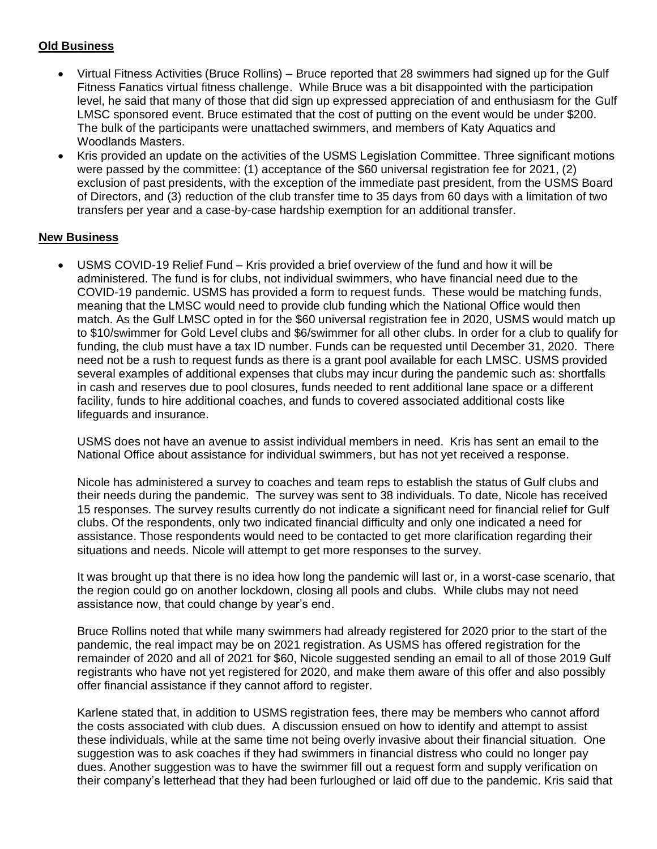# **Old Business**

- Virtual Fitness Activities (Bruce Rollins) Bruce reported that 28 swimmers had signed up for the Gulf Fitness Fanatics virtual fitness challenge. While Bruce was a bit disappointed with the participation level, he said that many of those that did sign up expressed appreciation of and enthusiasm for the Gulf LMSC sponsored event. Bruce estimated that the cost of putting on the event would be under \$200. The bulk of the participants were unattached swimmers, and members of Katy Aquatics and Woodlands Masters.
- Kris provided an update on the activities of the USMS Legislation Committee. Three significant motions were passed by the committee: (1) acceptance of the \$60 universal registration fee for 2021, (2) exclusion of past presidents, with the exception of the immediate past president, from the USMS Board of Directors, and (3) reduction of the club transfer time to 35 days from 60 days with a limitation of two transfers per year and a case-by-case hardship exemption for an additional transfer.

# **New Business**

• USMS COVID-19 Relief Fund – Kris provided a brief overview of the fund and how it will be administered. The fund is for clubs, not individual swimmers, who have financial need due to the COVID-19 pandemic. USMS has provided a form to request funds. These would be matching funds, meaning that the LMSC would need to provide club funding which the National Office would then match. As the Gulf LMSC opted in for the \$60 universal registration fee in 2020, USMS would match up to \$10/swimmer for Gold Level clubs and \$6/swimmer for all other clubs. In order for a club to qualify for funding, the club must have a tax ID number. Funds can be requested until December 31, 2020. There need not be a rush to request funds as there is a grant pool available for each LMSC. USMS provided several examples of additional expenses that clubs may incur during the pandemic such as: shortfalls in cash and reserves due to pool closures, funds needed to rent additional lane space or a different facility, funds to hire additional coaches, and funds to covered associated additional costs like lifeguards and insurance.

USMS does not have an avenue to assist individual members in need. Kris has sent an email to the National Office about assistance for individual swimmers, but has not yet received a response.

Nicole has administered a survey to coaches and team reps to establish the status of Gulf clubs and their needs during the pandemic. The survey was sent to 38 individuals. To date, Nicole has received 15 responses. The survey results currently do not indicate a significant need for financial relief for Gulf clubs. Of the respondents, only two indicated financial difficulty and only one indicated a need for assistance. Those respondents would need to be contacted to get more clarification regarding their situations and needs. Nicole will attempt to get more responses to the survey.

It was brought up that there is no idea how long the pandemic will last or, in a worst-case scenario, that the region could go on another lockdown, closing all pools and clubs. While clubs may not need assistance now, that could change by year's end.

Bruce Rollins noted that while many swimmers had already registered for 2020 prior to the start of the pandemic, the real impact may be on 2021 registration. As USMS has offered registration for the remainder of 2020 and all of 2021 for \$60, Nicole suggested sending an email to all of those 2019 Gulf registrants who have not yet registered for 2020, and make them aware of this offer and also possibly offer financial assistance if they cannot afford to register.

Karlene stated that, in addition to USMS registration fees, there may be members who cannot afford the costs associated with club dues. A discussion ensued on how to identify and attempt to assist these individuals, while at the same time not being overly invasive about their financial situation. One suggestion was to ask coaches if they had swimmers in financial distress who could no longer pay dues. Another suggestion was to have the swimmer fill out a request form and supply verification on their company's letterhead that they had been furloughed or laid off due to the pandemic. Kris said that